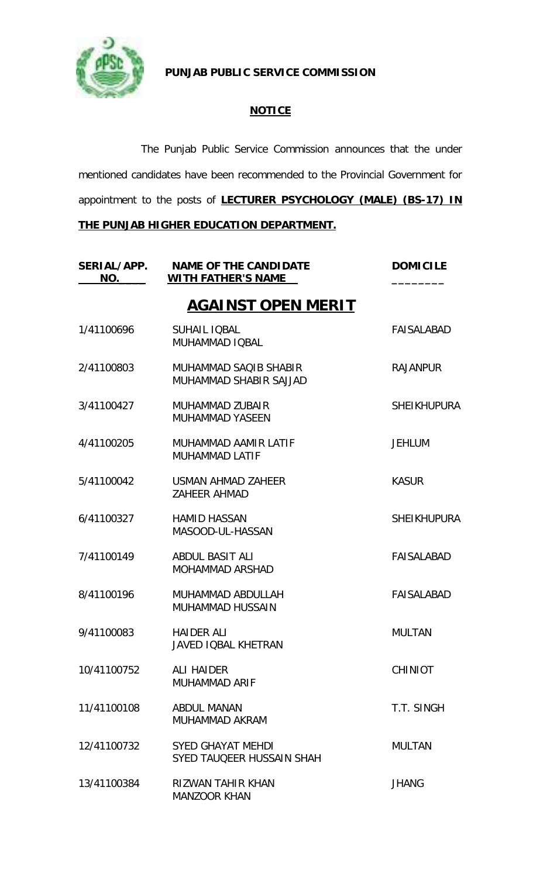

**PUNJAB PUBLIC SERVICE COMMISSION**

## **NOTICE**

The Punjab Public Service Commission announces that the under mentioned candidates have been recommended to the Provincial Government for appointment to the posts of **LECTURER PSYCHOLOGY (MALE) (BS-17) IN** 

## **THE PUNJAB HIGHER EDUCATION DEPARTMENT.**

| SERIAL/APP.<br>NO. | <b>NAME OF THE CANDIDATE</b><br><b>WITH FATHER'S NAME</b> | <b>DOMICILE</b>    |
|--------------------|-----------------------------------------------------------|--------------------|
|                    | <b>AGAINST OPEN MERIT</b>                                 |                    |
| 1/41100696         | <b>SUHAIL IQBAL</b><br>MUHAMMAD IQBAL                     | <b>FAISALABAD</b>  |
| 2/41100803         | MUHAMMAD SAQIB SHABIR<br>MUHAMMAD SHABIR SAJJAD           | <b>RAJANPUR</b>    |
| 3/41100427         | MUHAMMAD ZUBAIR<br><b>MUHAMMAD YASEEN</b>                 | <b>SHEIKHUPURA</b> |
| 4/41100205         | MUHAMMAD AAMIR LATIF<br><b>MUHAMMAD LATIF</b>             | <b>JEHLUM</b>      |
| 5/41100042         | USMAN AHMAD ZAHEER<br><b>ZAHEER AHMAD</b>                 | <b>KASUR</b>       |
| 6/41100327         | <b>HAMID HASSAN</b><br>MASOOD-UL-HASSAN                   | <b>SHEIKHUPURA</b> |
| 7/41100149         | ABDUL BASIT ALI<br><b>MOHAMMAD ARSHAD</b>                 | <b>FAISALABAD</b>  |
| 8/41100196         | MUHAMMAD ABDULLAH<br>MUHAMMAD HUSSAIN                     | <b>FAISALABAD</b>  |
| 9/41100083         | <b>HAIDER ALI</b><br>JAVED IQBAL KHETRAN                  | <b>MULTAN</b>      |
| 10/41100752        | <b>ALI HAIDER</b><br><b>MUHAMMAD ARIF</b>                 | <b>CHINIOT</b>     |
| 11/41100108        | <b>ABDUL MANAN</b><br>MUHAMMAD AKRAM                      | T.T. SINGH         |
| 12/41100732        | <b>SYED GHAYAT MEHDI</b><br>SYED TAUQEER HUSSAIN SHAH     | <b>MULTAN</b>      |
| 13/41100384        | <b>RIZWAN TAHIR KHAN</b><br><b>MANZOOR KHAN</b>           | <b>JHANG</b>       |